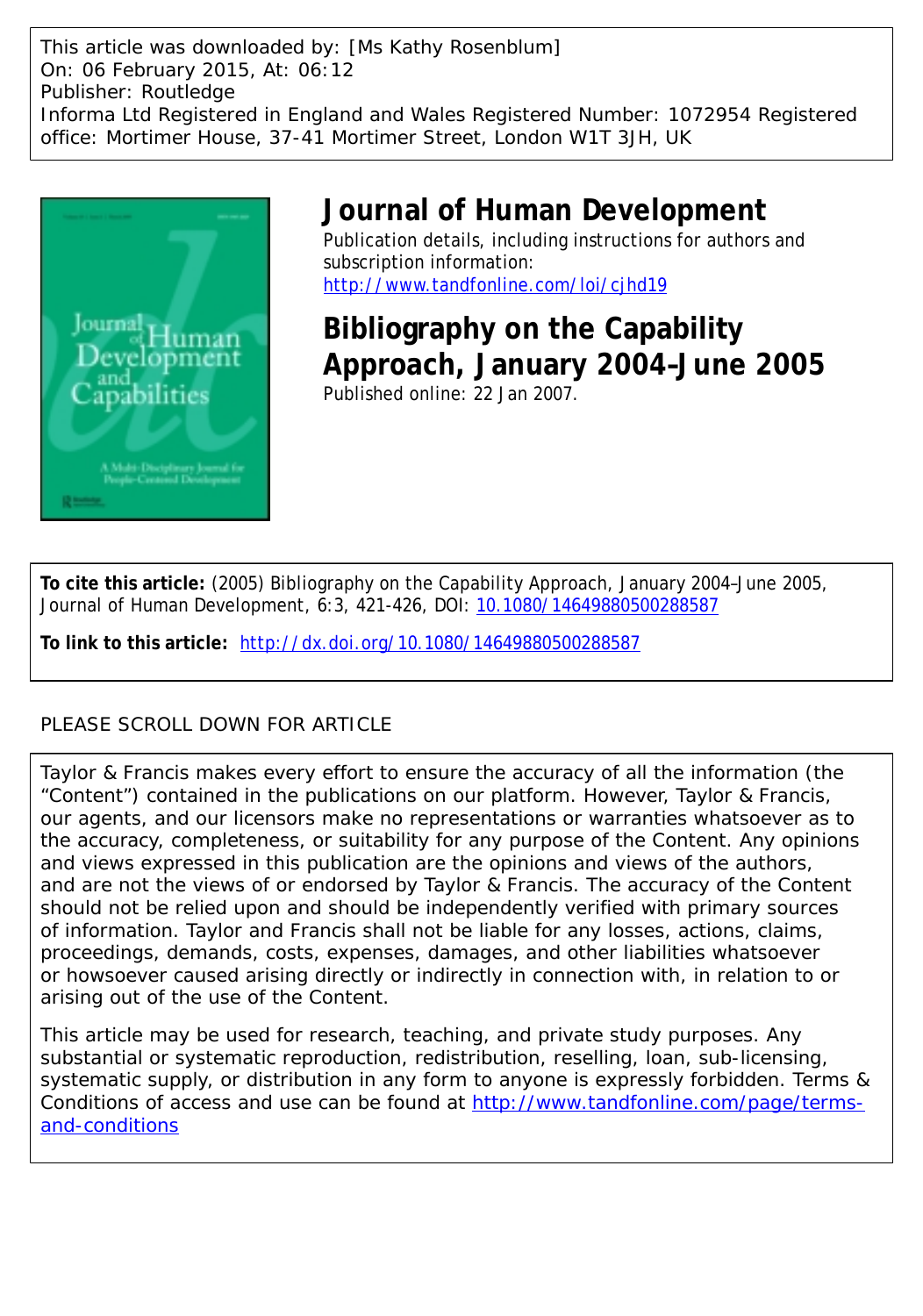This article was downloaded by: [Ms Kathy Rosenblum] On: 06 February 2015, At: 06:12 Publisher: Routledge Informa Ltd Registered in England and Wales Registered Number: 1072954 Registered office: Mortimer House, 37-41 Mortimer Street, London W1T 3JH, UK



## **Journal of Human Development**

Publication details, including instructions for authors and subscription information: <http://www.tandfonline.com/loi/cjhd19>

**Bibliography on the Capability Approach, January 2004–June 2005** Published online: 22 Jan 2007.

**To cite this article:** (2005) Bibliography on the Capability Approach, January 2004–June 2005, Journal of Human Development, 6:3, 421-426, DOI: [10.1080/14649880500288587](http://www.tandfonline.com/action/showCitFormats?doi=10.1080/14649880500288587)

**To link to this article:** <http://dx.doi.org/10.1080/14649880500288587>

### PLEASE SCROLL DOWN FOR ARTICLE

Taylor & Francis makes every effort to ensure the accuracy of all the information (the "Content") contained in the publications on our platform. However, Taylor & Francis, our agents, and our licensors make no representations or warranties whatsoever as to the accuracy, completeness, or suitability for any purpose of the Content. Any opinions and views expressed in this publication are the opinions and views of the authors, and are not the views of or endorsed by Taylor & Francis. The accuracy of the Content should not be relied upon and should be independently verified with primary sources of information. Taylor and Francis shall not be liable for any losses, actions, claims, proceedings, demands, costs, expenses, damages, and other liabilities whatsoever or howsoever caused arising directly or indirectly in connection with, in relation to or arising out of the use of the Content.

This article may be used for research, teaching, and private study purposes. Any substantial or systematic reproduction, redistribution, reselling, loan, sub-licensing, systematic supply, or distribution in any form to anyone is expressly forbidden. Terms & Conditions of access and use can be found at [http://www.tandfonline.com/page/terms](http://www.tandfonline.com/page/terms-and-conditions)[and-conditions](http://www.tandfonline.com/page/terms-and-conditions)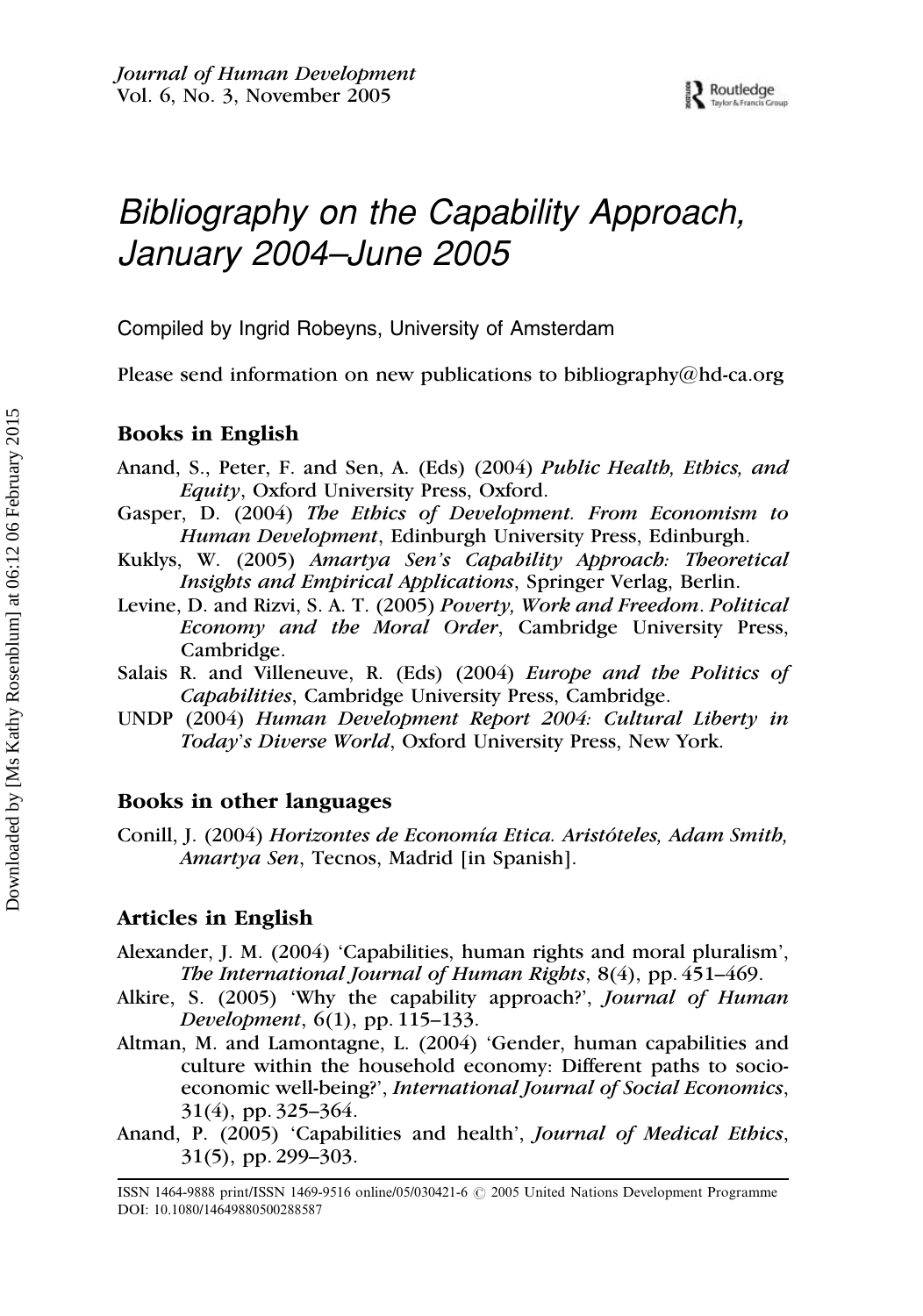# Bibliography on the Capability Approach, January 2004–June 2005

Compiled by Ingrid Robeyns, University of Amsterdam

Please send information on new publications to bibliography $@$ hd-ca.org

#### Books in English

- Anand, S., Peter, F. and Sen, A. (Eds) (2004) Public Health, Ethics, and Equity, Oxford University Press, Oxford.
- Gasper, D. (2004) The Ethics of Development. From Economism to Human Development, Edinburgh University Press, Edinburgh.
- Kuklys, W. (2005) Amartya Sen's Capability Approach: Theoretical Insights and Empirical Applications, Springer Verlag, Berlin.
- Levine, D. and Rizvi, S. A. T. (2005) Poverty, Work and Freedom. Political Economy and the Moral Order, Cambridge University Press, Cambridge.
- Salais R. and Villeneuve, R. (Eds) (2004) Europe and the Politics of Capabilities, Cambridge University Press, Cambridge.
- UNDP (2004) Human Development Report 2004: Cultural Liberty in Today's Diverse World, Oxford University Press, New York.

#### Books in other languages

Conill, J. (2004) Horizontes de Economía Etica. Aristóteles, Adam Smith, Amartya Sen, Tecnos, Madrid [in Spanish].

#### Articles in English

- Alexander, J. M. (2004) 'Capabilities, human rights and moral pluralism', The International Journal of Human Rights, 8(4), pp. 451–469.
- Alkire, S. (2005) 'Why the capability approach?', Journal of Human Development, 6(1), pp. 115–133.
- Altman, M. and Lamontagne, L. (2004) 'Gender, human capabilities and culture within the household economy: Different paths to socioeconomic well-being?', International Journal of Social Economics, 31(4), pp. 325–364.
- Anand, P. (2005) 'Capabilities and health', Journal of Medical Ethics, 31(5), pp. 299–303.

ISSN 1464-9888 print/ISSN 1469-9516 online/05/030421-6  $\odot$  2005 United Nations Development Programme DOI: 10.1080/14649880500288587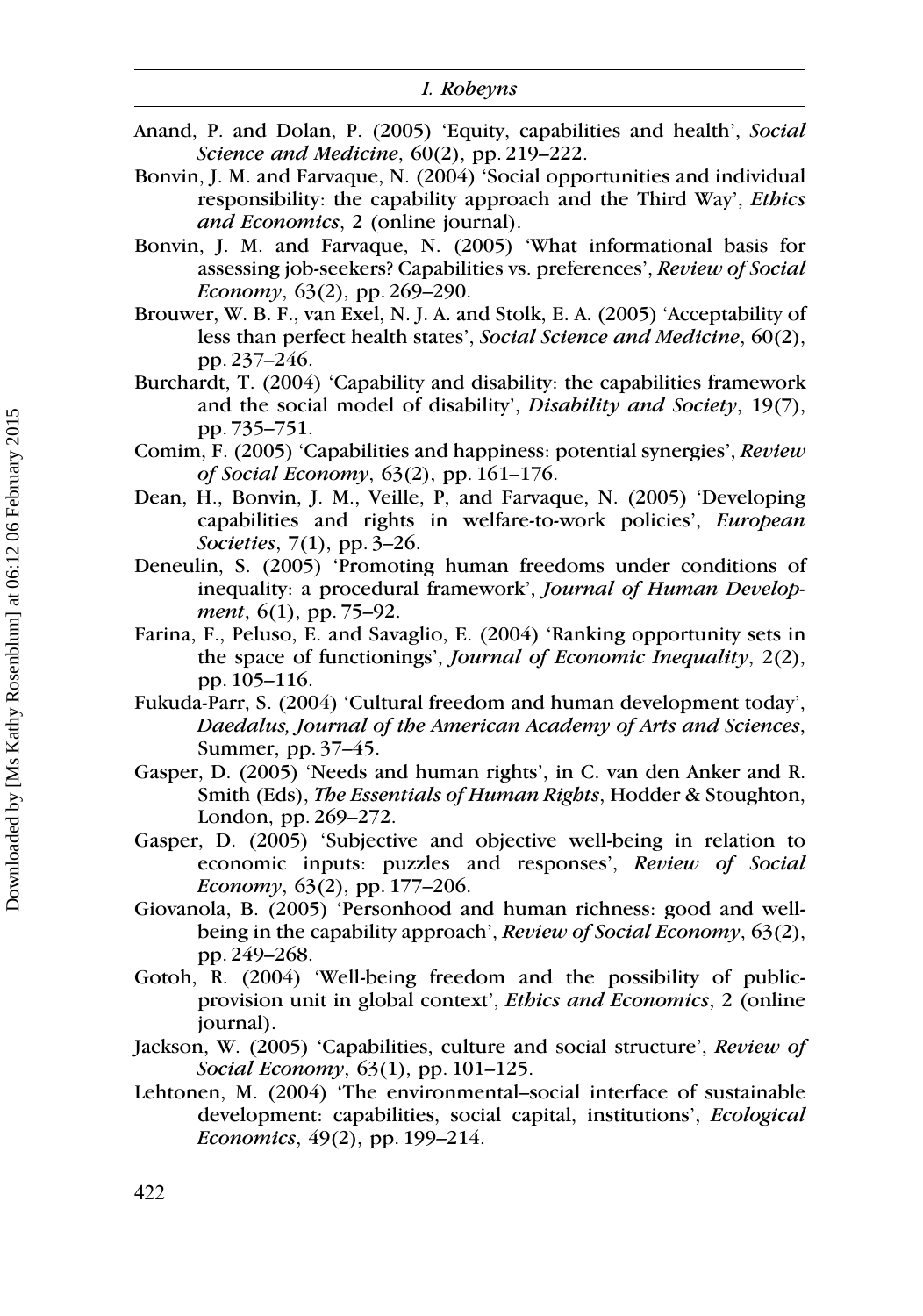- Anand, P. and Dolan, P. (2005) 'Equity, capabilities and health', Social Science and Medicine, 60(2), pp. 219-222.
- Bonvin, J. M. and Farvaque, N. (2004) 'Social opportunities and individual responsibility: the capability approach and the Third Way', Ethics and Economics, 2 (online journal).
- Bonvin, J. M. and Farvaque, N. (2005) 'What informational basis for assessing job-seekers? Capabilities vs. preferences', Review of Social Economy,  $63(2)$ , pp. 269–290.
- Brouwer, W. B. F., van Exel, N. J. A. and Stolk, E. A. (2005) 'Acceptability of less than perfect health states', Social Science and Medicine, 60(2), pp. 237–246.
- Burchardt, T. (2004) 'Capability and disability: the capabilities framework and the social model of disability', Disability and Society, 19(7), pp. 735–751.
- Comim, F. (2005) 'Capabilities and happiness: potential synergies', Review of Social Economy, 63(2), pp. 161–176.
- Dean, H., Bonvin, J. M., Veille, P, and Farvaque, N. (2005) 'Developing capabilities and rights in welfare-to-work policies', European Societies, 7(1), pp. 3–26.
- Deneulin, S. (2005) 'Promoting human freedoms under conditions of inequality: a procedural framework', Journal of Human Development, 6(1), pp. 75–92.
- Farina, F., Peluso, E. and Savaglio, E. (2004) 'Ranking opportunity sets in the space of functionings', Journal of Economic Inequality, 2(2), pp. 105–116.
- Fukuda-Parr, S. (2004) 'Cultural freedom and human development today', Daedalus, Journal of the American Academy of Arts and Sciences, Summer, pp. 37–45.
- Gasper, D. (2005) 'Needs and human rights', in C. van den Anker and R. Smith (Eds), The Essentials of Human Rights, Hodder & Stoughton, London, pp. 269–272.
- Gasper, D. (2005) 'Subjective and objective well-being in relation to economic inputs: puzzles and responses', Review of Social Economy,  $63(2)$ , pp. 177–206.
- Giovanola, B. (2005) 'Personhood and human richness: good and wellbeing in the capability approach', Review of Social Economy, 63(2), pp. 249–268.
- Gotoh, R. (2004) 'Well-being freedom and the possibility of publicprovision unit in global context', Ethics and Economics, 2 (online journal).
- Jackson, W. (2005) 'Capabilities, culture and social structure', Review of Social Economy, 63(1), pp. 101–125.
- Lehtonen, M. (2004) 'The environmental–social interface of sustainable development: capabilities, social capital, institutions', Ecological Economics, 49(2), pp. 199–214.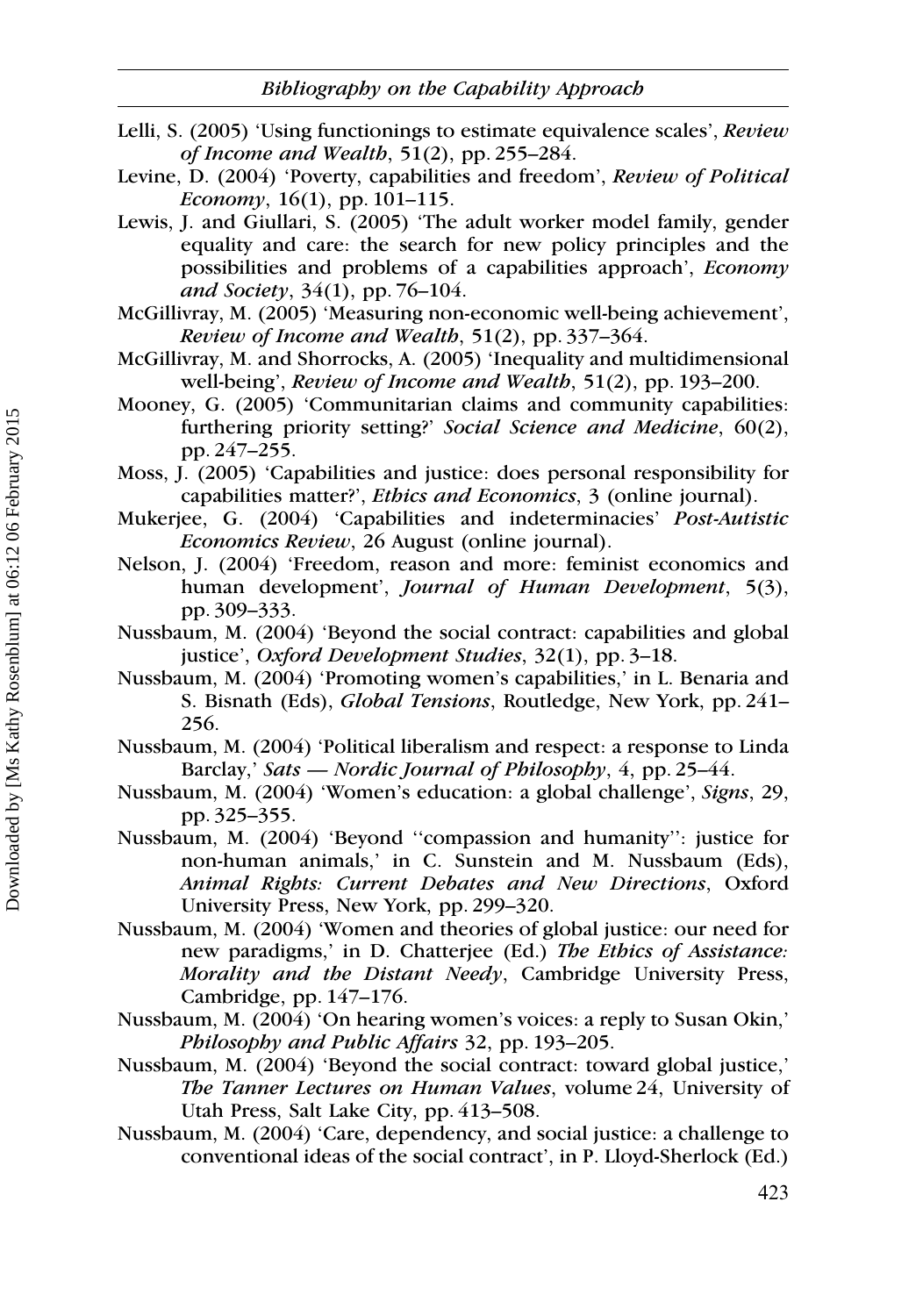- Lelli, S. (2005) 'Using functionings to estimate equivalence scales', Review of Income and Wealth, 51(2), pp. 255–284.
- Levine, D. (2004) 'Poverty, capabilities and freedom', Review of Political Economy,  $16(1)$ , pp.  $101-115$ .
- Lewis, J. and Giullari, S. (2005) 'The adult worker model family, gender equality and care: the search for new policy principles and the possibilities and problems of a capabilities approach', Economy and Society,  $34(1)$ , pp. 76–104.
- McGillivray, M. (2005) 'Measuring non-economic well-being achievement', Review of Income and Wealth, 51(2), pp. 337–364.
- McGillivray, M. and Shorrocks, A. (2005) 'Inequality and multidimensional well-being', Review of Income and Wealth, 51(2), pp. 193–200.
- Mooney, G. (2005) 'Communitarian claims and community capabilities: furthering priority setting?' Social Science and Medicine, 60(2), pp. 247–255.
- Moss, J. (2005) 'Capabilities and justice: does personal responsibility for capabilities matter?', Ethics and Economics, 3 (online journal).
- Mukerjee, G. (2004) 'Capabilities and indeterminacies' Post-Autistic Economics Review, 26 August (online journal).
- Nelson, J. (2004) 'Freedom, reason and more: feminist economics and human development', Journal of Human Development, 5(3), pp. 309–333.
- Nussbaum, M. (2004) 'Beyond the social contract: capabilities and global justice', Oxford Development Studies, 32(1), pp. 3–18.
- Nussbaum, M. (2004) 'Promoting women's capabilities,' in L. Benaria and S. Bisnath (Eds), Global Tensions, Routledge, New York, pp. 241– 256.
- Nussbaum, M. (2004) 'Political liberalism and respect: a response to Linda Barclay,' Sats — Nordic Journal of Philosophy, 4, pp. 25–44.
- Nussbaum, M. (2004) 'Women's education: a global challenge', Signs, 29, pp. 325–355.
- Nussbaum, M. (2004) 'Beyond ''compassion and humanity'': justice for non-human animals,' in C. Sunstein and M. Nussbaum (Eds), Animal Rights: Current Debates and New Directions, Oxford University Press, New York, pp. 299–320.
- Nussbaum, M. (2004) 'Women and theories of global justice: our need for new paradigms,' in D. Chatterjee (Ed.) The Ethics of Assistance: Morality and the Distant Needy, Cambridge University Press, Cambridge, pp. 147–176.
- Nussbaum, M. (2004) 'On hearing women's voices: a reply to Susan Okin,' Philosophy and Public Affairs 32, pp. 193–205.
- Nussbaum, M. (2004) 'Beyond the social contract: toward global justice,' The Tanner Lectures on Human Values, volume 24, University of Utah Press, Salt Lake City, pp. 413–508.
- Nussbaum, M. (2004) 'Care, dependency, and social justice: a challenge to conventional ideas of the social contract', in P. Lloyd-Sherlock (Ed.)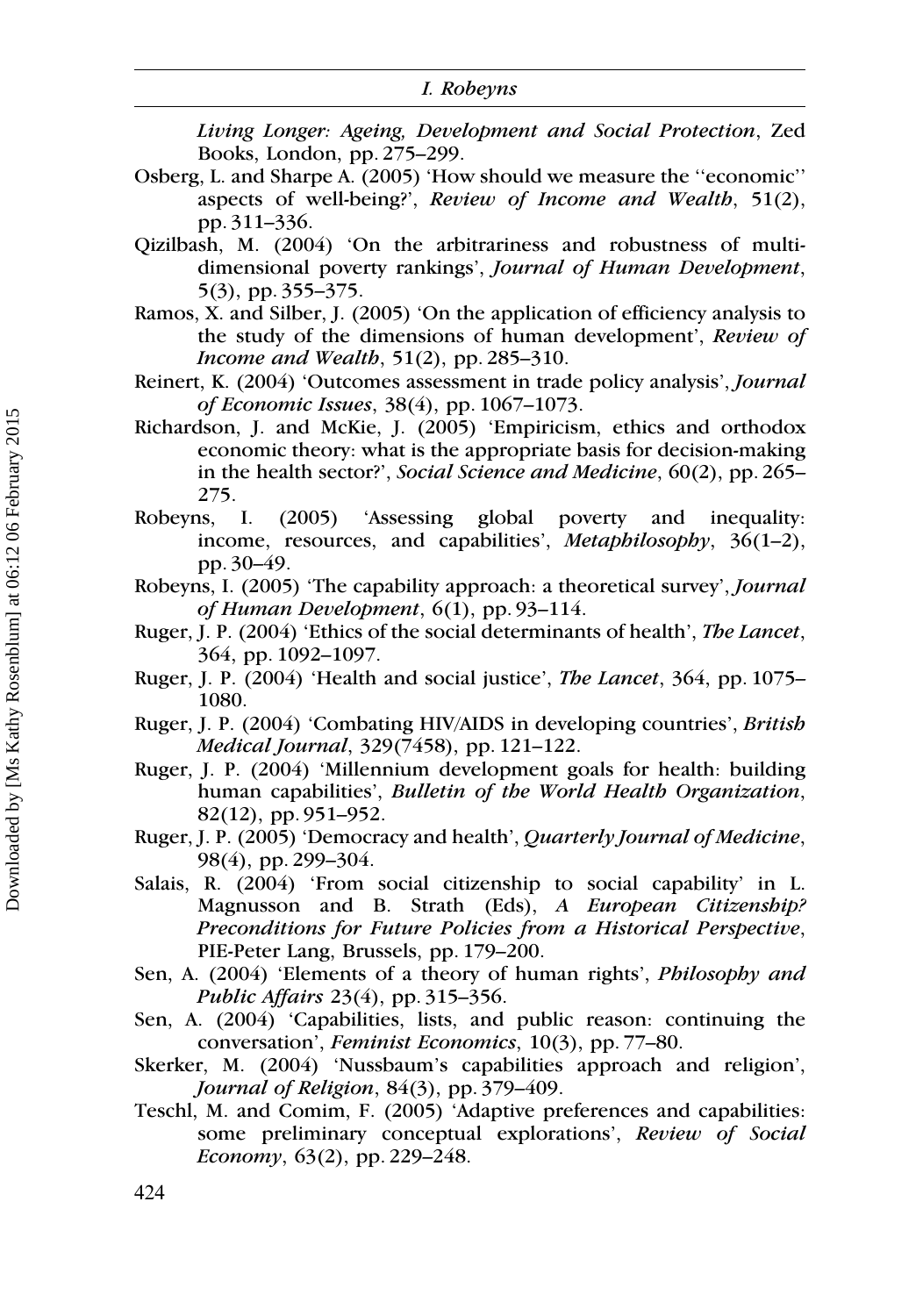Living Longer: Ageing, Development and Social Protection, Zed Books, London, pp. 275–299.

- Osberg, L. and Sharpe A. (2005) 'How should we measure the ''economic'' aspects of well-being?', Review of Income and Wealth, 51(2), pp. 311–336.
- Qizilbash, M. (2004) 'On the arbitrariness and robustness of multidimensional poverty rankings', Journal of Human Development, 5(3), pp. 355–375.
- Ramos, X. and Silber, J. (2005) 'On the application of efficiency analysis to the study of the dimensions of human development', Review of Income and Wealth, 51(2), pp. 285–310.
- Reinert, K. (2004) 'Outcomes assessment in trade policy analysis', Journal of Economic Issues, 38(4), pp. 1067–1073.
- Richardson, J. and McKie, J. (2005) 'Empiricism, ethics and orthodox economic theory: what is the appropriate basis for decision-making in the health sector?', Social Science and Medicine, 60(2), pp. 265– 275.
- Robeyns, I. (2005) 'Assessing global poverty and inequality: income, resources, and capabilities', Metaphilosophy, 36(1-2), pp. 30–49.
- Robeyns, I. (2005) 'The capability approach: a theoretical survey', Journal of Human Development, 6(1), pp. 93–114.
- Ruger, J. P. (2004) 'Ethics of the social determinants of health', The Lancet, 364, pp. 1092–1097.
- Ruger, J. P. (2004) 'Health and social justice', The Lancet, 364, pp. 1075– 1080.
- Ruger, J. P. (2004) 'Combating HIV/AIDS in developing countries', British Medical Journal, 329(7458), pp. 121–122.
- Ruger, J. P. (2004) 'Millennium development goals for health: building human capabilities', Bulletin of the World Health Organization, 82(12), pp. 951–952.
- Ruger, J. P. (2005) 'Democracy and health', Quarterly Journal of Medicine, 98(4), pp. 299–304.
- Salais, R. (2004) 'From social citizenship to social capability' in L. Magnusson and B. Strath (Eds), A European Citizenship? Preconditions for Future Policies from a Historical Perspective, PIE-Peter Lang, Brussels, pp. 179–200.
- Sen, A. (2004) 'Elements of a theory of human rights', Philosophy and Public Affairs 23(4), pp. 315–356.
- Sen, A. (2004) 'Capabilities, lists, and public reason: continuing the conversation', Feminist Economics, 10(3), pp. 77–80.
- Skerker, M. (2004) 'Nussbaum's capabilities approach and religion', Journal of Religion, 84(3), pp. 379–409.
- Teschl, M. and Comim, F. (2005) 'Adaptive preferences and capabilities: some preliminary conceptual explorations', Review of Social Economy,  $63(2)$ , pp. 229–248.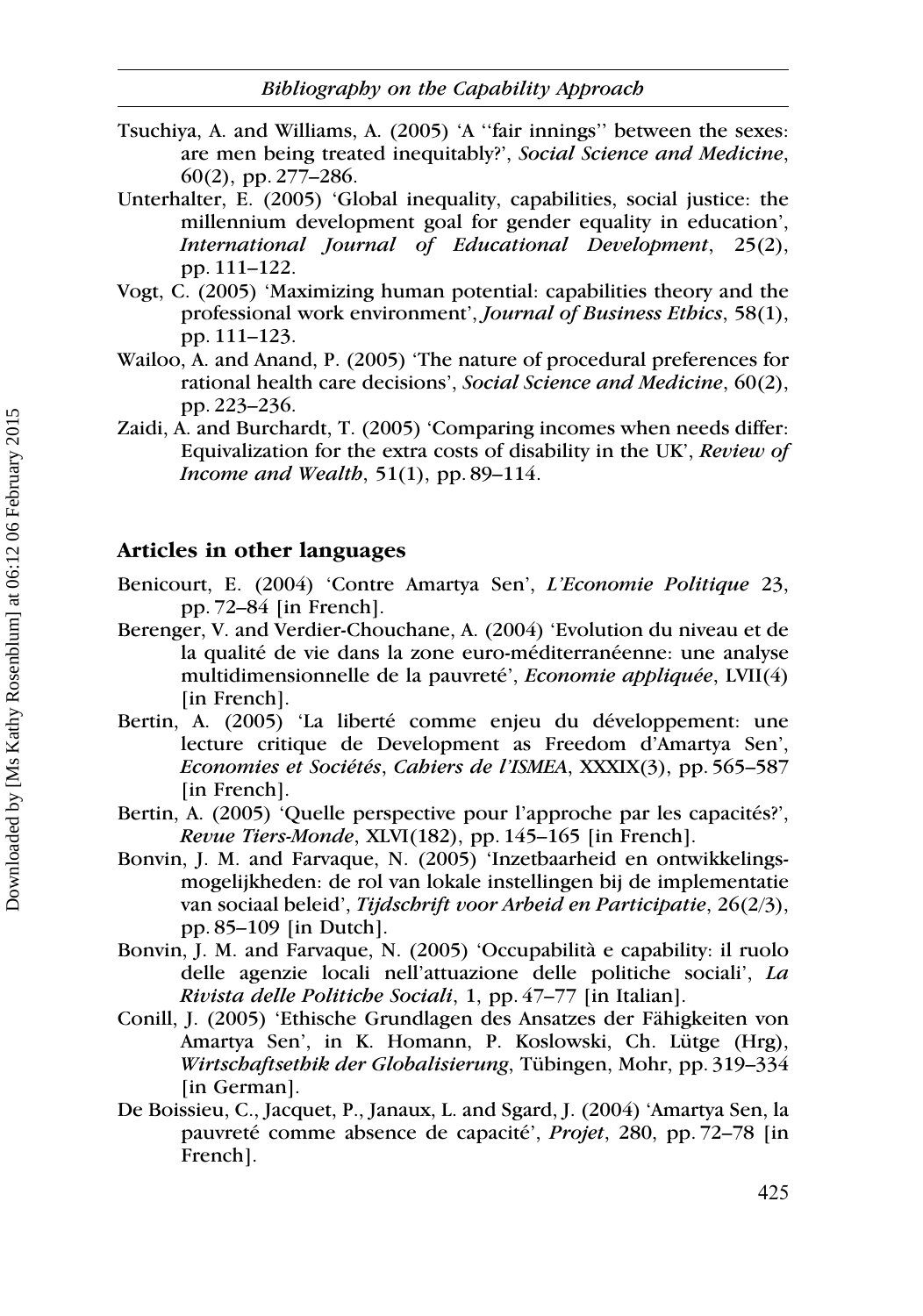- Tsuchiya, A. and Williams, A. (2005) 'A ''fair innings'' between the sexes: are men being treated inequitably?', Social Science and Medicine, 60(2), pp. 277–286.
- Unterhalter, E. (2005) 'Global inequality, capabilities, social justice: the millennium development goal for gender equality in education', International Journal of Educational Development, 25(2), pp. 111–122.
- Vogt, C. (2005) 'Maximizing human potential: capabilities theory and the professional work environment', Journal of Business Ethics, 58(1), pp. 111–123.
- Wailoo, A. and Anand, P. (2005) 'The nature of procedural preferences for rational health care decisions', Social Science and Medicine, 60(2), pp. 223–236.
- Zaidi, A. and Burchardt, T. (2005) 'Comparing incomes when needs differ: Equivalization for the extra costs of disability in the UK', Review of Income and Wealth,  $51(1)$ , pp. 89-114.

#### Articles in other languages

- Benicourt, E. (2004) 'Contre Amartya Sen', L'Economie Politique 23, pp. 72–84 [in French].
- Berenger, V. and Verdier-Chouchane, A. (2004) 'Evolution du niveau et de la qualité de vie dans la zone euro-méditerranéenne: une analyse multidimensionnelle de la pauvreté', Economie appliquée, LVII(4) [in French].
- Bertin, A. (2005) 'La liberté comme enjeu du développement: une lecture critique de Development as Freedom d'Amartya Sen', Economies et Sociétés, Cabiers de l'ISMEA, XXXIX(3), pp. 565–587 [in French].
- Bertin, A. (2005) 'Quelle perspective pour l'approche par les capacités?', Revue Tiers-Monde, XLVI(182), pp. 145–165 [in French].
- Bonvin, J. M. and Farvaque, N. (2005) 'Inzetbaarheid en ontwikkelingsmogelijkheden: de rol van lokale instellingen bij de implementatie van sociaal beleid', Tijdschrift voor Arbeid en Participatie, 26(2/3), pp. 85–109 [in Dutch].
- Bonvin, J. M. and Farvaque, N. (2005) 'Occupabilita` e capability: il ruolo delle agenzie locali nell'attuazione delle politiche sociali', La Rivista delle Politiche Sociali, 1, pp. 47–77 [in Italian].
- Conill, J. (2005) 'Ethische Grundlagen des Ansatzes der Fähigkeiten von Amartya Sen', in K. Homann, P. Koslowski, Ch. Lütge (Hrg), Wirtschaftsethik der Globalisierung, Tübingen, Mohr, pp. 319-334 [in German].
- De Boissieu, C., Jacquet, P., Janaux, L. and Sgard, J. (2004) 'Amartya Sen, la pauvreté comme absence de capacité', Projet, 280, pp. 72–78 [in French].